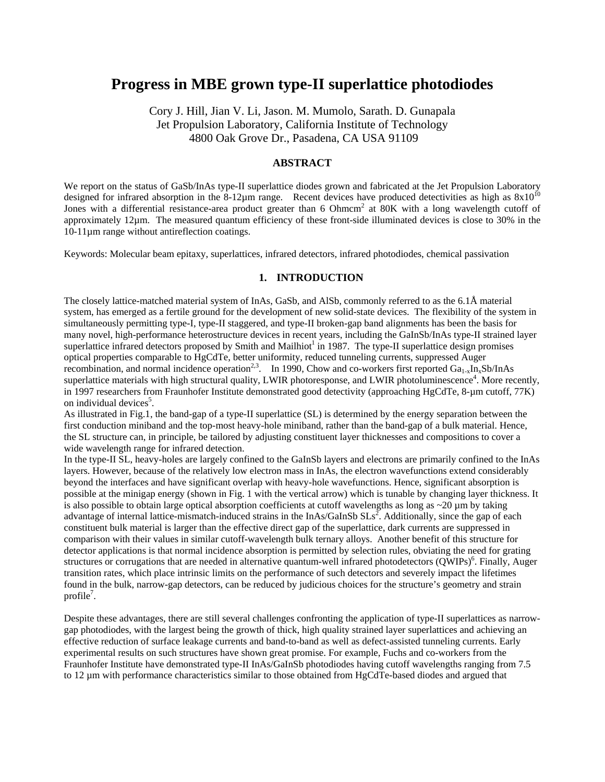# **Progress in MBE grown type-II superlattice photodiodes**

Cory J. Hill, Jian V. Li, Jason. M. Mumolo, Sarath. D. Gunapala Jet Propulsion Laboratory, California Institute of Technology 4800 Oak Grove Dr., Pasadena, CA USA 91109

## **ABSTRACT**

We report on the status of GaSb/InAs type-II superlattice diodes grown and fabricated at the Jet Propulsion Laboratory designed for infrared absorption in the 8-12 $\mu$ m range. Recent devices have produced detectivities as high as  $8x10^{10}$ Jones with a differential resistance-area product greater than 6 Ohmcm<sup>2</sup> at 80K with a long wavelength cutoff of approximately 12µm. The measured quantum efficiency of these front-side illuminated devices is close to 30% in the 10-11µm range without antireflection coatings.

Keywords: Molecular beam epitaxy, superlattices, infrared detectors, infrared photodiodes, chemical passivation

## **1. INTRODUCTION**

The closely lattice-matched material system of InAs, GaSb, and AlSb, commonly referred to as the 6.1Å material system, has emerged as a fertile ground for the development of new solid-state devices. The flexibility of the system in simultaneously permitting type-I, type-II staggered, and type-II broken-gap band alignments has been the basis for many novel, high-performance heterostructure devices in recent years, including the GaInSb/InAs type-II strained layer superlattice infrared detectors proposed by Smith and Mailhiot<sup>1</sup> in 1987. The type-II superlattice design promises optical properties comparable to HgCdTe, better uniformity, reduced tunneling currents, suppressed Auger recombination, and normal incidence operation<sup>2,3</sup>. In 1990, Chow and co-workers first reported  $Ga_{1-x}In_xSb/InAs$ superlattice materials with high structural quality, LWIR photoresponse, and LWIR photoluminescence<sup>4</sup>. More recently, in 1997 researchers from Fraunhofer Institute demonstrated good detectivity (approaching HgCdTe, 8-µm cutoff, 77K) on individual devices<sup>5</sup>.

As illustrated in Fig.1, the band-gap of a type-II superlattice (SL) is determined by the energy separation between the first conduction miniband and the top-most heavy-hole miniband, rather than the band-gap of a bulk material. Hence, the SL structure can, in principle, be tailored by adjusting constituent layer thicknesses and compositions to cover a wide wavelength range for infrared detection.

In the type-II SL, heavy-holes are largely confined to the GaInSb layers and electrons are primarily confined to the InAs layers. However, because of the relatively low electron mass in InAs, the electron wavefunctions extend considerably beyond the interfaces and have significant overlap with heavy-hole wavefunctions. Hence, significant absorption is possible at the minigap energy (shown in Fig. 1 with the vertical arrow) which is tunable by changing layer thickness. It is also possible to obtain large optical absorption coefficients at cutoff wavelengths as long as  $\sim$ 20  $\mu$ m by taking advantage of internal lattice-mismatch-induced strains in the InAs/GaInSb  $SLs^2$ . Additionally, since the gap of each constituent bulk material is larger than the effective direct gap of the superlattice, dark currents are suppressed in comparison with their values in similar cutoff-wavelength bulk ternary alloys. Another benefit of this structure for detector applications is that normal incidence absorption is permitted by selection rules, obviating the need for grating structures or corrugations that are needed in alternative quantum-well infrared photodetectors (QWIPs)<sup>6</sup>. Finally, Auger transition rates, which place intrinsic limits on the performance of such detectors and severely impact the lifetimes found in the bulk, narrow-gap detectors, can be reduced by judicious choices for the structure's geometry and strain profile<sup>7</sup>.

Despite these advantages, there are still several challenges confronting the application of type-II superlattices as narrowgap photodiodes, with the largest being the growth of thick, high quality strained layer superlattices and achieving an effective reduction of surface leakage currents and band-to-band as well as defect-assisted tunneling currents. Early experimental results on such structures have shown great promise. For example, Fuchs and co-workers from the Fraunhofer Institute have demonstrated type-II InAs/GaInSb photodiodes having cutoff wavelengths ranging from 7.5 to 12 µm with performance characteristics similar to those obtained from HgCdTe-based diodes and argued that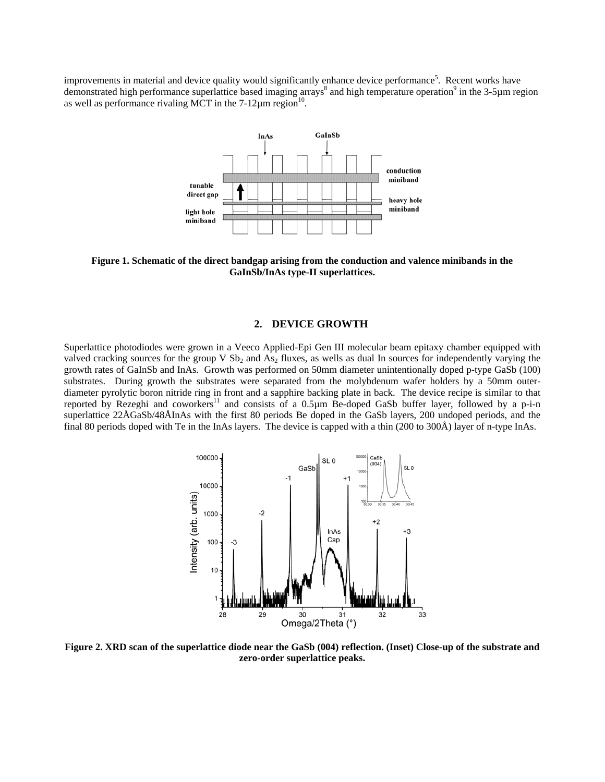improvements in material and device quality would significantly enhance device performance<sup>5</sup>. Recent works have demonstrated high performance superlattice based imaging arrays<sup>8</sup> and high temperature operation<sup>9</sup> in the 3-5µm region as well as performance rivaling MCT in the  $7-12\mu$ m region<sup>10</sup>.



**Figure 1. Schematic of the direct bandgap arising from the conduction and valence minibands in the GaInSb/InAs type-II superlattices.** 

## **2. DEVICE GROWTH**

Superlattice photodiodes were grown in a Veeco Applied-Epi Gen III molecular beam epitaxy chamber equipped with valved cracking sources for the group V  $Sb<sub>2</sub>$  and As<sub>2</sub> fluxes, as wells as dual In sources for independently varying the growth rates of GaInSb and InAs. Growth was performed on 50mm diameter unintentionally doped p-type GaSb (100) substrates. During growth the substrates were separated from the molybdenum wafer holders by a 50mm outerdiameter pyrolytic boron nitride ring in front and a sapphire backing plate in back. The device recipe is similar to that reported by Rezeghi and coworkers<sup>11</sup> and consists of a 0.5 $\mu$ m Be-doped GaSb buffer layer, followed by a p-i-n superlattice 22ÅGaSb/48ÅInAs with the first 80 periods Be doped in the GaSb layers, 200 undoped periods, and the final 80 periods doped with Te in the InAs layers. The device is capped with a thin (200 to 300Å) layer of n-type InAs.



**Figure 2. XRD scan of the superlattice diode near the GaSb (004) reflection. (Inset) Close-up of the substrate and zero-order superlattice peaks.**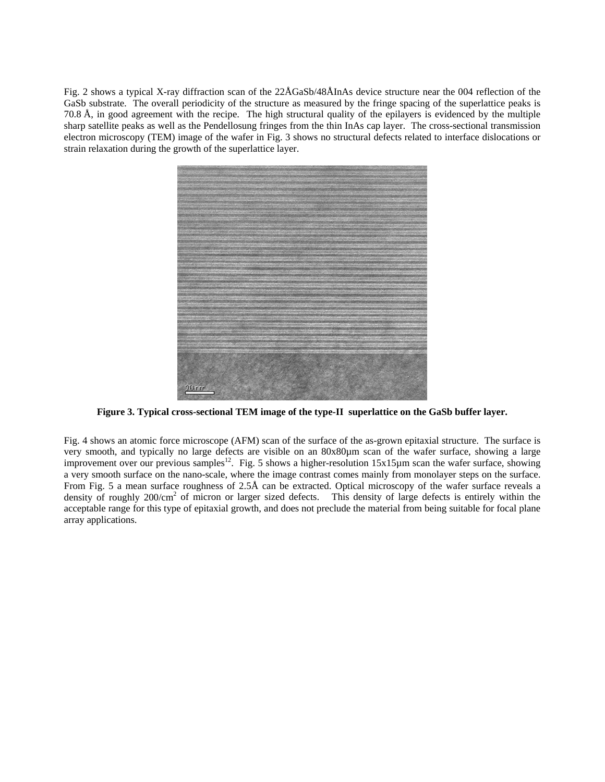Fig. 2 shows a typical X-ray diffraction scan of the 22ÅGaSb/48ÅInAs device structure near the 004 reflection of the GaSb substrate. The overall periodicity of the structure as measured by the fringe spacing of the superlattice peaks is 70.8 Å, in good agreement with the recipe. The high structural quality of the epilayers is evidenced by the multiple sharp satellite peaks as well as the Pendellosung fringes from the thin InAs cap layer. The cross-sectional transmission electron microscopy (TEM) image of the wafer in Fig. 3 shows no structural defects related to interface dislocations or strain relaxation during the growth of the superlattice layer.



**Figure 3. Typical cross-sectional TEM image of the type-II superlattice on the GaSb buffer layer.** 

Fig. 4 shows an atomic force microscope (AFM) scan of the surface of the as-grown epitaxial structure. The surface is very smooth, and typically no large defects are visible on an 80x80µm scan of the wafer surface, showing a large improvement over our previous samples<sup>12</sup>. Fig. 5 shows a higher-resolution  $15x15\mu$ m scan the wafer surface, showing a very smooth surface on the nano-scale, where the image contrast comes mainly from monolayer steps on the surface. From Fig. 5 a mean surface roughness of 2.5Å can be extracted. Optical microscopy of the wafer surface reveals a density of roughly 200/cm<sup>2</sup> of micron or larger sized defects. This density of large defects is entirely within the acceptable range for this type of epitaxial growth, and does not preclude the material from being suitable for focal plane array applications.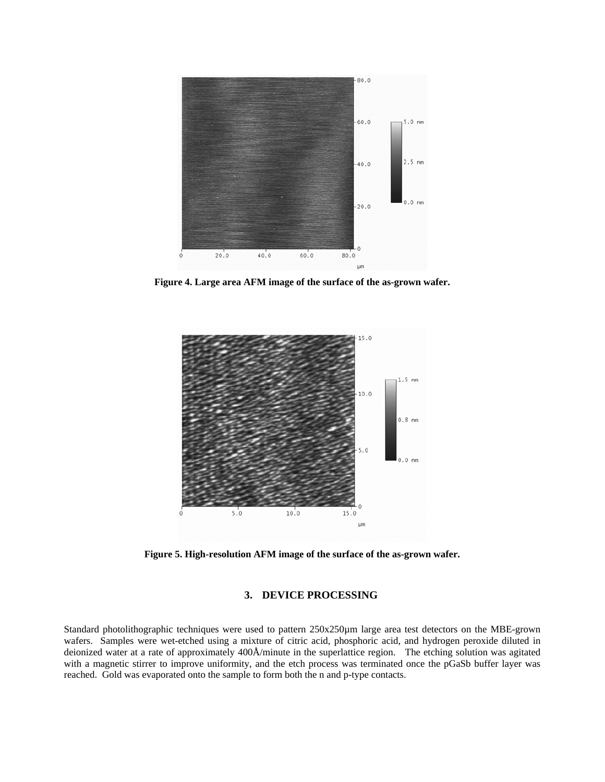

**Figure 4. Large area AFM image of the surface of the as-grown wafer.** 



**Figure 5. High-resolution AFM image of the surface of the as-grown wafer.** 

## **3. DEVICE PROCESSING**

Standard photolithographic techniques were used to pattern 250x250µm large area test detectors on the MBE-grown wafers. Samples were wet-etched using a mixture of citric acid, phosphoric acid, and hydrogen peroxide diluted in deionized water at a rate of approximately 400Å/minute in the superlattice region. The etching solution was agitated with a magnetic stirrer to improve uniformity, and the etch process was terminated once the pGaSb buffer layer was reached. Gold was evaporated onto the sample to form both the n and p-type contacts.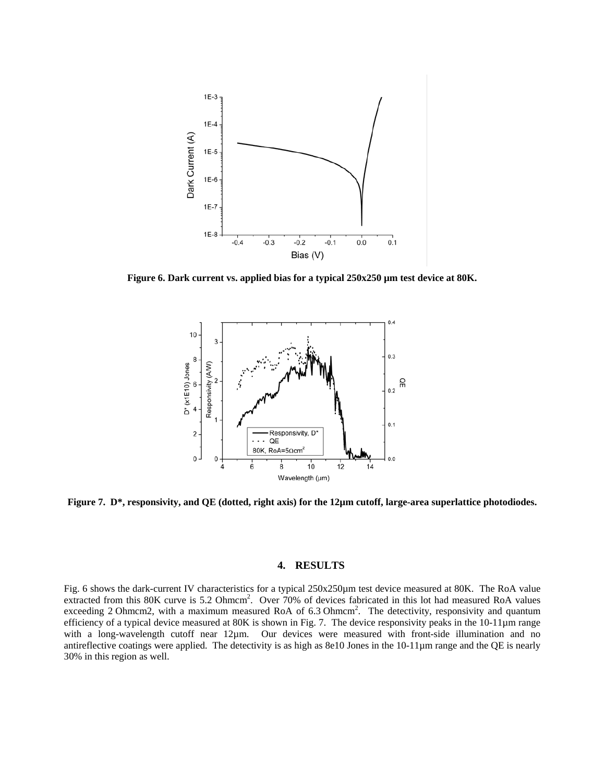

**Figure 6. Dark current vs. applied bias for a typical 250x250 µm test device at 80K.** 



**Figure 7. D\*, responsivity, and QE (dotted, right axis) for the 12µm cutoff, large-area superlattice photodiodes.** 

# **4. RESULTS**

Fig. 6 shows the dark-current IV characteristics for a typical 250x250µm test device measured at 80K. The RoA value extracted from this 80K curve is 5.2 Ohmcm<sup>2</sup>. Over 70% of devices fabricated in this lot had measured RoA values exceeding 2 Ohmcm2, with a maximum measured RoA of 6.3 Ohmcm<sup>2</sup>. The detectivity, responsivity and quantum efficiency of a typical device measured at 80K is shown in Fig. 7. The device responsivity peaks in the 10-11µm range with a long-wavelength cutoff near 12µm. Our devices were measured with front-side illumination and no antireflective coatings were applied. The detectivity is as high as 8e10 Jones in the 10-11 $\mu$ m range and the QE is nearly 30% in this region as well.